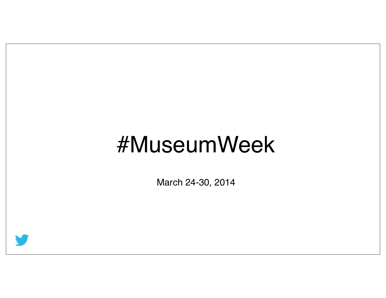## #MuseumWeek

March 24-30, 2014

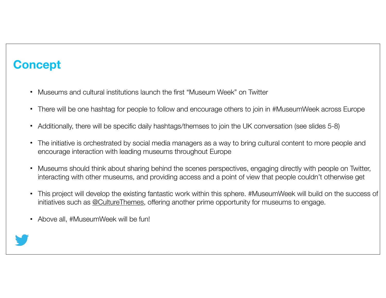### **Concept**

- Museums and cultural institutions launch the first "Museum Week" on Twitter
- There will be one hashtag for people to follow and encourage others to join in #MuseumWeek across Europe
- Additionally, there will be specific daily hashtags/themses to join the UK conversation (see slides 5-8)
- The initiative is orchestrated by social media managers as a way to bring cultural content to more people and encourage interaction with leading museums throughout Europe
- Museums should think about sharing behind the scenes perspectives, engaging directly with people on Twitter, interacting with other museums, and providing access and a point of view that people couldn't otherwise get
- This project will develop the existing fantastic work within this sphere. #MuseumWeek will build on the success of initiatives such as @CultureThemes, offering another prime opportunity for museums to engage.
- Above all, #MuseumWeek will be fun!

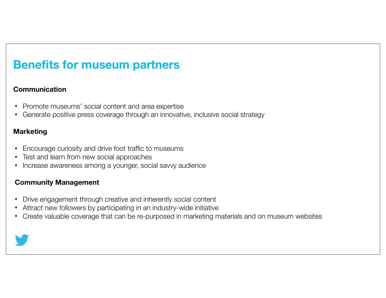### **Benefits for museum partners**

#### **Communication**

- Promote museums' social content and area expertise
- Generate positive press coverage through an innovative, inclusive social strategy

#### **Marketing**

- Encourage curiosity and drive foot traffic to museums
- Test and learn from new social approaches
- Increase awareness among a younger, social savvy audience

#### **Community Management**

- Drive engagement through creative and inherently social content
- Attract new followers by participating in an industry-wide initiative
- Create valuable coverage that can be re-purposed in marketing materials and on museum websites

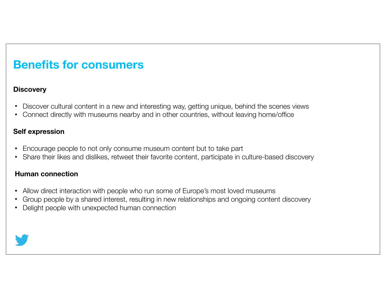### **Benefits for consumers**

### **Discovery**

- Discover cultural content in a new and interesting way, getting unique, behind the scenes views
- Connect directly with museums nearby and in other countries, without leaving home/office

#### **Self expression**

- Encourage people to not only consume museum content but to take part
- Share their likes and dislikes, retweet their favorite content, participate in culture-based discovery

#### **Human connection**

- Allow direct interaction with people who run some of Europe's most loved museums
- Group people by a shared interest, resulting in new relationships and ongoing content discovery
- Delight people with unexpected human connection

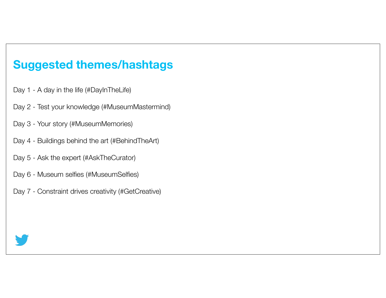### **Suggested themes/hashtags**

- Day 1 A day in the life (#DayInTheLife)
- Day 2 Test your knowledge (#MuseumMastermind)
- Day 3 Your story (#MuseumMemories)
- Day 4 Buildings behind the art (#BehindTheArt)
- Day 5 Ask the expert (#AskTheCurator)
- Day 6 Museum selfies (#MuseumSelfies)
- Day 7 Constraint drives creativity (#GetCreative)

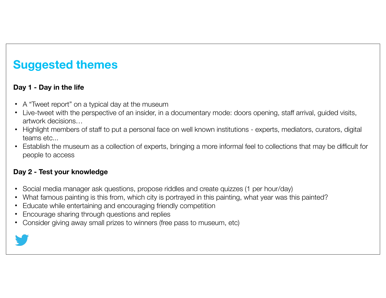### **Suggested themes**

### **Day 1 - Day in the life**

- A "Tweet report" on a typical day at the museum
- Live-tweet with the perspective of an insider, in a documentary mode: doors opening, staff arrival, guided visits, artwork decisions…
- Highlight members of staff to put a personal face on well known institutions experts, mediators, curators, digital teams etc...
- Establish the museum as a collection of experts, bringing a more informal feel to collections that may be difficult for people to access

### **Day 2 - Test your knowledge**

- Social media manager ask questions, propose riddles and create quizzes (1 per hour/day)
- What famous painting is this from, which city is portrayed in this painting, what year was this painted?
- Educate while entertaining and encouraging friendly competition
- Encourage sharing through questions and replies
- Consider giving away small prizes to winners (free pass to museum, etc)

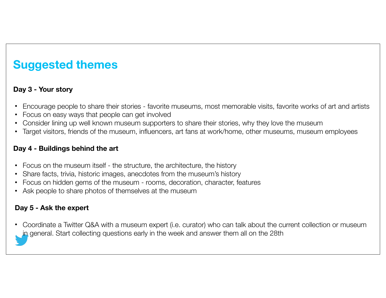### **Suggested themes**

### **Day 3 - Your story**

- Encourage people to share their stories favorite museums, most memorable visits, favorite works of art and artists
- Focus on easy ways that people can get involved
- Consider lining up well known museum supporters to share their stories, why they love the museum
- Target visitors, friends of the museum, influencers, art fans at work/home, other museums, museum employees

#### **Day 4 - Buildings behind the art**

- Focus on the museum itself the structure, the architecture, the history
- Share facts, trivia, historic images, anecdotes from the museum's history
- Focus on hidden gems of the museum rooms, decoration, character, features
- Ask people to share photos of themselves at the museum

### **Day 5 - Ask the expert**

• Coordinate a Twitter Q&A with a museum expert (i.e. curator) who can talk about the current collection or museum in general. Start collecting questions early in the week and answer them all on the 28th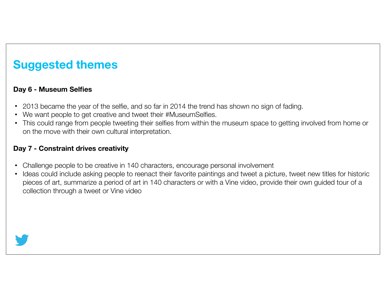### **Suggested themes**

### **Day 6 - Museum Selfies**

- 2013 became the year of the selfie, and so far in 2014 the trend has shown no sign of fading.
- We want people to get creative and tweet their #MuseumSelfies.
- This could range from people tweeting their selfies from within the museum space to getting involved from home or on the move with their own cultural interpretation.

### **Day 7 - Constraint drives creativity**

- Challenge people to be creative in 140 characters, encourage personal involvement
- Ideas could include asking people to reenact their favorite paintings and tweet a picture, tweet new titles for historic pieces of art, summarize a period of art in 140 characters or with a Vine video, provide their own guided tour of a collection through a tweet or Vine video

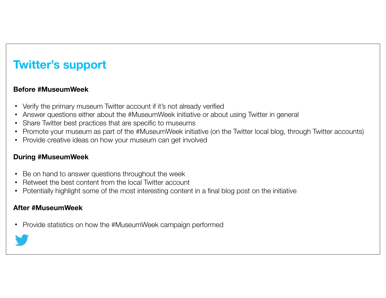### **Twitter's support**

### **Before #MuseumWeek**

- Verify the primary museum Twitter account if it's not already verified
- Answer questions either about the #MuseumWeek initiative or about using Twitter in general
- Share Twitter best practices that are specific to museums
- Promote your museum as part of the #MuseumWeek initiative (on the Twitter local blog, through Twitter accounts)
- Provide creative ideas on how your museum can get involved

#### **During #MuseumWeek**

- Be on hand to answer questions throughout the week
- Retweet the best content from the local Twitter account
- Potentially highlight some of the most interesting content in a final blog post on the initiative

#### **After #MuseumWeek**

• Provide statistics on how the #MuseumWeek campaign performed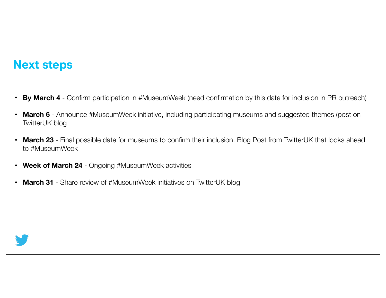### **Next steps**

- **By March 4** Confirm participation in #MuseumWeek (need confirmation by this date for inclusion in PR outreach)
- **March 6**  Announce #MuseumWeek initiative, including participating museums and suggested themes (post on TwitterUK blog
- **March 23** Final possible date for museums to confirm their inclusion. Blog Post from TwitterUK that looks ahead to #MuseumWeek
- **Week of March 24** Ongoing #MuseumWeek activities
- March 31 Share review of #MuseumWeek initiatives on TwitterUK blog